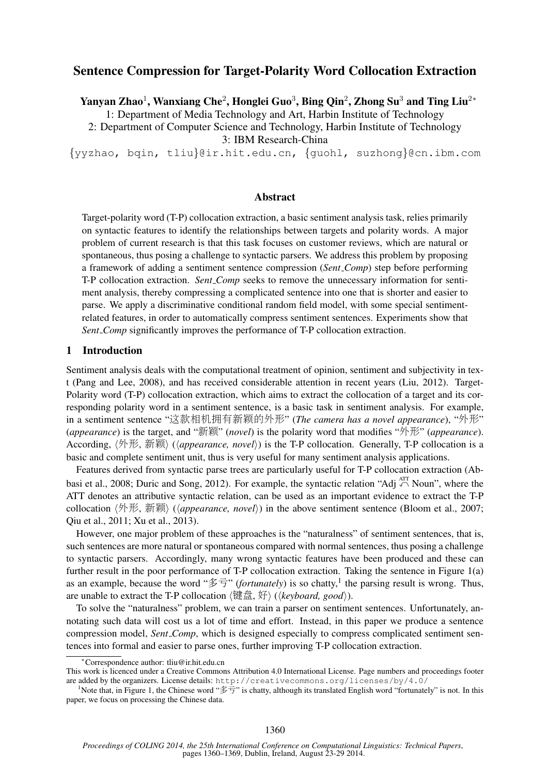# Sentence Compression for Target-Polarity Word Collocation Extraction

Yanyan Zhao $^1$ , Wanxiang Che $^2$ , Honglei Guo $^3$ , Bing Qin $^2$ , Zhong Su $^3$  and Ting Liu $^{2\ast}$ 

1: Department of Media Technology and Art, Harbin Institute of Technology

2: Department of Computer Science and Technology, Harbin Institute of Technology

3: IBM Research-China

{yyzhao, bqin, tliu}@ir.hit.edu.cn, {guohl, suzhong}@cn.ibm.com

# Abstract

Target-polarity word (T-P) collocation extraction, a basic sentiment analysis task, relies primarily on syntactic features to identify the relationships between targets and polarity words. A major problem of current research is that this task focuses on customer reviews, which are natural or spontaneous, thus posing a challenge to syntactic parsers. We address this problem by proposing a framework of adding a sentiment sentence compression (*Sent Comp*) step before performing T-P collocation extraction. *Sent Comp* seeks to remove the unnecessary information for sentiment analysis, thereby compressing a complicated sentence into one that is shorter and easier to parse. We apply a discriminative conditional random field model, with some special sentimentrelated features, in order to automatically compress sentiment sentences. Experiments show that *Sent Comp* significantly improves the performance of T-P collocation extraction.

### 1 Introduction

Sentiment analysis deals with the computational treatment of opinion, sentiment and subjectivity in text (Pang and Lee, 2008), and has received considerable attention in recent years (Liu, 2012). Target-Polarity word (T-P) collocation extraction, which aims to extract the collocation of a target and its corresponding polarity word in a sentiment sentence, is a basic task in sentiment analysis. For example, in a sentiment sentence "这款相机拥有新颖的外形" (*The camera has a novel appearance*), "外形" (*appearance*) is the target, and "新颖" (*novel*) is the polarity word that modifies "外形" (*appearance*). According,  $\langle \nparallel \nparallel E, \nparallel \hat{m} \rangle$  ( $\langle \text{appearance}, \text{ novel} \rangle$ ) is the T-P collocation. Generally, T-P collocation is a basic and complete sentiment unit, thus is very useful for many sentiment analysis applications.

Features derived from syntactic parse trees are particularly useful for T-P collocation extraction (Abbasi et al., 2008; Duric and Song, 2012). For example, the syntactic relation "Adj  $\bigcap_{i=1}^{ATT}$  Noun", where the ATT denotes an attributive syntactic relation, can be used as an important evidence to extract the T-P collocation  $\langle \oint \uparrow \mathcal{F}$ , 新颖 $\rangle$  (*lappearance, novel*) in the above sentiment sentence (Bloom et al., 2007; Qiu et al., 2011; Xu et al., 2013).

However, one major problem of these approaches is the "naturalness" of sentiment sentences, that is, such sentences are more natural or spontaneous compared with normal sentences, thus posing a challenge to syntactic parsers. Accordingly, many wrong syntactic features have been produced and these can further result in the poor performance of T-P collocation extraction. Taking the sentence in Figure 1(a) as an example, because the word "多亏" (*fortunately*) is so chatty,<sup>1</sup> the parsing result is wrong. Thus, are unable to extract the T-P collocation  $\langle$ 键盘, 好 $\rangle$  ( $\langle\mathit{keyboard}, \mathit{good}\rangle$ ).

To solve the "naturalness" problem, we can train a parser on sentiment sentences. Unfortunately, annotating such data will cost us a lot of time and effort. Instead, in this paper we produce a sentence compression model, *Sent Comp*, which is designed especially to compress complicated sentiment sentences into formal and easier to parse ones, further improving T-P collocation extraction.

<sup>∗</sup>Correspondence author: tliu@ir.hit.edu.cn

This work is licenced under a Creative Commons Attribution 4.0 International License. Page numbers and proceedings footer are added by the organizers. License details: http://creativecommons.org/licenses/by/4.0/

<sup>&</sup>lt;sup>1</sup>Note that, in Figure 1, the Chinese word "多亏" is chatty, although its translated English word "fortunately" is not. In this paper, we focus on processing the Chinese data.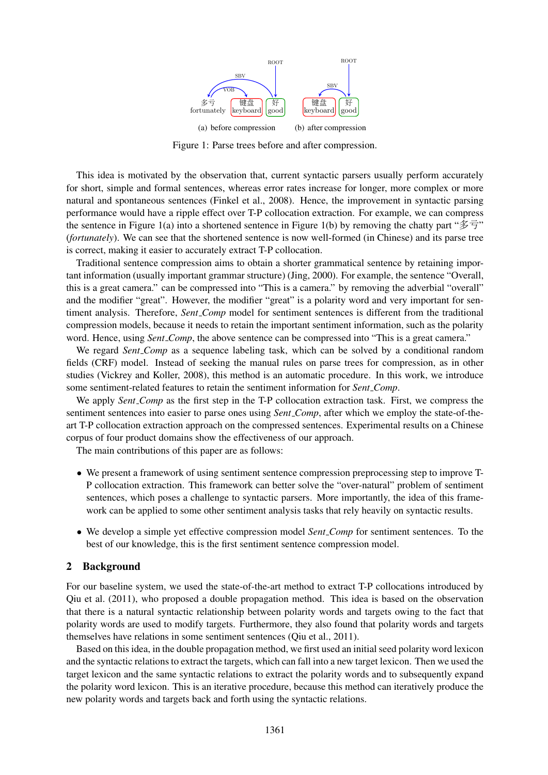

Figure 1: Parse trees before and after compression.

This idea is motivated by the observation that, current syntactic parsers usually perform accurately for short, simple and formal sentences, whereas error rates increase for longer, more complex or more natural and spontaneous sentences (Finkel et al., 2008). Hence, the improvement in syntactic parsing performance would have a ripple effect over T-P collocation extraction. For example, we can compress the sentence in Figure 1(a) into a shortened sentence in Figure 1(b) by removing the chatty part "多亏" (*fortunately*). We can see that the shortened sentence is now well-formed (in Chinese) and its parse tree is correct, making it easier to accurately extract T-P collocation.

Traditional sentence compression aims to obtain a shorter grammatical sentence by retaining important information (usually important grammar structure) (Jing, 2000). For example, the sentence "Overall, this is a great camera." can be compressed into "This is a camera." by removing the adverbial "overall" and the modifier "great". However, the modifier "great" is a polarity word and very important for sentiment analysis. Therefore, *Sent Comp* model for sentiment sentences is different from the traditional compression models, because it needs to retain the important sentiment information, such as the polarity word. Hence, using *Sent Comp*, the above sentence can be compressed into "This is a great camera."

We regard *Sent Comp* as a sequence labeling task, which can be solved by a conditional random fields (CRF) model. Instead of seeking the manual rules on parse trees for compression, as in other studies (Vickrey and Koller, 2008), this method is an automatic procedure. In this work, we introduce some sentiment-related features to retain the sentiment information for *Sent Comp*.

We apply *Sent Comp* as the first step in the T-P collocation extraction task. First, we compress the sentiment sentences into easier to parse ones using *Sent Comp*, after which we employ the state-of-theart T-P collocation extraction approach on the compressed sentences. Experimental results on a Chinese corpus of four product domains show the effectiveness of our approach.

The main contributions of this paper are as follows:

- We present a framework of using sentiment sentence compression preprocessing step to improve T-P collocation extraction. This framework can better solve the "over-natural" problem of sentiment sentences, which poses a challenge to syntactic parsers. More importantly, the idea of this framework can be applied to some other sentiment analysis tasks that rely heavily on syntactic results.
- We develop a simple yet effective compression model *Sent Comp* for sentiment sentences. To the best of our knowledge, this is the first sentiment sentence compression model.

## 2 Background

For our baseline system, we used the state-of-the-art method to extract T-P collocations introduced by Qiu et al. (2011), who proposed a double propagation method. This idea is based on the observation that there is a natural syntactic relationship between polarity words and targets owing to the fact that polarity words are used to modify targets. Furthermore, they also found that polarity words and targets themselves have relations in some sentiment sentences (Qiu et al., 2011).

Based on this idea, in the double propagation method, we first used an initial seed polarity word lexicon and the syntactic relations to extract the targets, which can fall into a new target lexicon. Then we used the target lexicon and the same syntactic relations to extract the polarity words and to subsequently expand the polarity word lexicon. This is an iterative procedure, because this method can iteratively produce the new polarity words and targets back and forth using the syntactic relations.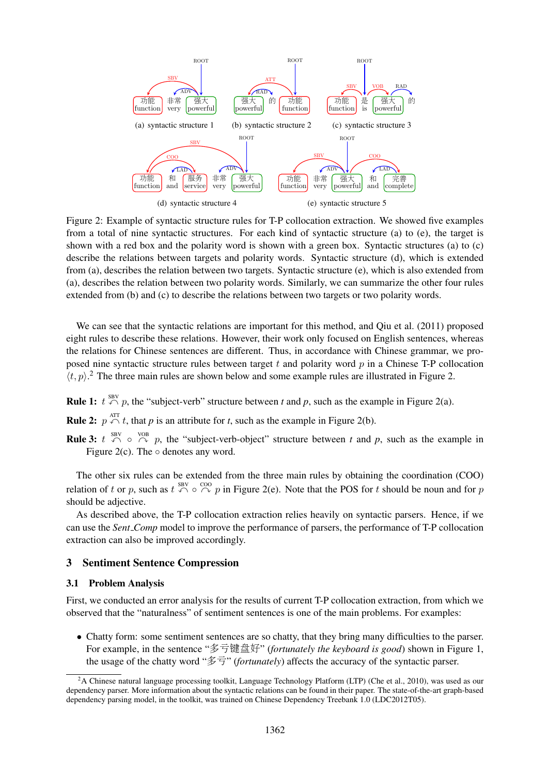

Figure 2: Example of syntactic structure rules for T-P collocation extraction. We showed five examples from a total of nine syntactic structures. For each kind of syntactic structure (a) to (e), the target is shown with a red box and the polarity word is shown with a green box. Syntactic structures (a) to (c) describe the relations between targets and polarity words. Syntactic structure (d), which is extended from (a), describes the relation between two targets. Syntactic structure (e), which is also extended from (a), describes the relation between two polarity words. Similarly, we can summarize the other four rules extended from (b) and (c) to describe the relations between two targets or two polarity words.

We can see that the syntactic relations are important for this method, and Qiu et al. (2011) proposed eight rules to describe these relations. However, their work only focused on English sentences, whereas the relations for Chinese sentences are different. Thus, in accordance with Chinese grammar, we proposed nine syntactic structure rules between target  $t$  and polarity word  $p$  in a Chinese T-P collocation  $\langle t, p \rangle$ .<sup>2</sup> The three main rules are shown below and some example rules are illustrated in Figure 2.

**Rule 1:**  $t \leftrightarrow \infty$  *p*, the "subject-verb" structure between *t* and *p*, such as the example in Figure 2(a).

**Rule 2:**  $p \nightharpoonup^{\text{ATT}} t$ , that *p* is an attribute for *t*, such as the example in Figure 2(b).

**Rule 3:**  $t \leftrightarrow \infty$  or  $\stackrel{\text{VOB}}{\curvearrowright}$  p, the "subject-verb-object" structure between *t* and *p*, such as the example in Figure 2(c). The  $\circ$  denotes any word.

The other six rules can be extended from the three main rules by obtaining the coordination (COO) relation of t or p, such as  $t \stackrel{\text{SBV}}{\curvearrowleft} \circ \stackrel{\text{COO}}{\curvearrowright} p$  in Figure 2(e). Note that the POS for t should be noun and for p should be adjective.

As described above, the T-P collocation extraction relies heavily on syntactic parsers. Hence, if we can use the *Sent Comp* model to improve the performance of parsers, the performance of T-P collocation extraction can also be improved accordingly.

# 3 Sentiment Sentence Compression

#### 3.1 Problem Analysis

First, we conducted an error analysis for the results of current T-P collocation extraction, from which we observed that the "naturalness" of sentiment sentences is one of the main problems. For examples:

• Chatty form: some sentiment sentences are so chatty, that they bring many difficulties to the parser. For example, in the sentence "多亏键盘好" (*fortunately the keyboard is good*) shown in Figure 1, the usage of the chatty word "多亏" (*fortunately*) affects the accuracy of the syntactic parser.

<sup>&</sup>lt;sup>2</sup>A Chinese natural language processing toolkit, Language Technology Platform (LTP) (Che et al., 2010), was used as our dependency parser. More information about the syntactic relations can be found in their paper. The state-of-the-art graph-based dependency parsing model, in the toolkit, was trained on Chinese Dependency Treebank 1.0 (LDC2012T05).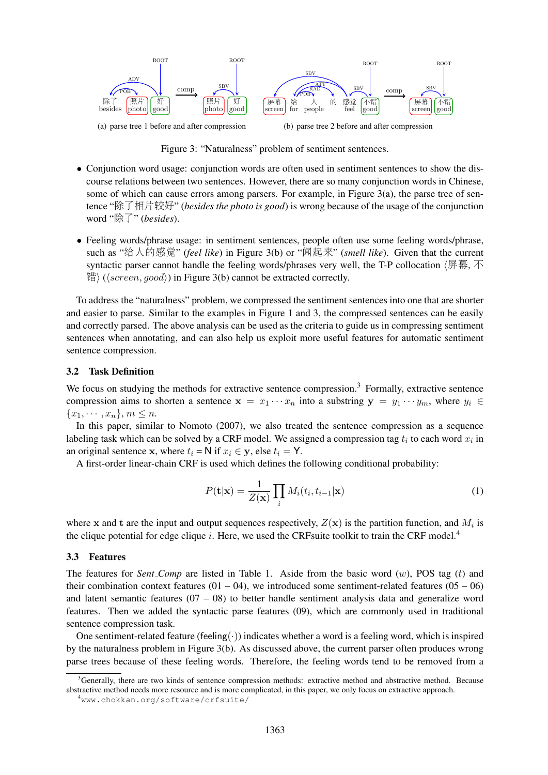

Figure 3: "Naturalness" problem of sentiment sentences.

- Conjunction word usage: conjunction words are often used in sentiment sentences to show the discourse relations between two sentences. However, there are so many conjunction words in Chinese, some of which can cause errors among parsers. For example, in Figure  $3(a)$ , the parse tree of sentence "除了相片较好" (*besides the photo is good*) is wrong because of the usage of the conjunction word "除了" (*besides*).
- Feeling words/phrase usage: in sentiment sentences, people often use some feeling words/phrase, such as "给人的感觉" (*feel like*) in Figure 3(b) or "闻起来" (*smell like*). Given that the current syntactic parser cannot handle the feeling words/phrases very well, the T-P collocation  $\langle \nvert \vec{F} \cdot \vec{F} \cdot \vec{F} \cdot \vec{F} \cdot \vec{F} \cdot \vec{F} \cdot \vec{F} \cdot \vec{F} \cdot \vec{F} \cdot \vec{F} \cdot \vec{F} \cdot \vec{F} \cdot \vec{F} \cdot \vec{F} \cdot \vec{F} \cdot \vec{F} \cdot \vec{F} \cdot \vec{F} \cdot$  $\langle \frac{1}{2} \rangle$  ( $\langle screen, good \rangle$ ) in Figure 3(b) cannot be extracted correctly.

To address the "naturalness" problem, we compressed the sentiment sentences into one that are shorter and easier to parse. Similar to the examples in Figure 1 and 3, the compressed sentences can be easily and correctly parsed. The above analysis can be used as the criteria to guide us in compressing sentiment sentences when annotating, and can also help us exploit more useful features for automatic sentiment sentence compression.

#### 3.2 Task Definition

We focus on studying the methods for extractive sentence compression.<sup>3</sup> Formally, extractive sentence compression aims to shorten a sentence  $x = x_1 \cdots x_n$  into a substring  $y = y_1 \cdots y_m$ , where  $y_i \in$  ${x_1, \cdots, x_n}, m \leq n.$ 

In this paper, similar to Nomoto (2007), we also treated the sentence compression as a sequence labeling task which can be solved by a CRF model. We assigned a compression tag  $t_i$  to each word  $x_i$  in an original sentence x, where  $t_i = N$  if  $x_i \in y$ , else  $t_i = Y$ .

A first-order linear-chain CRF is used which defines the following conditional probability:

$$
P(\mathbf{t}|\mathbf{x}) = \frac{1}{Z(\mathbf{x})} \prod_{i} M_i(t_i, t_{i-1}|\mathbf{x})
$$
\n(1)

where x and t are the input and output sequences respectively,  $Z(\mathbf{x})$  is the partition function, and  $M_i$  is the clique potential for edge clique i. Here, we used the CRFsuite toolkit to train the CRF model.<sup>4</sup>

#### 3.3 Features

The features for *Sent Comp* are listed in Table 1. Aside from the basic word  $(w)$ , POS tag  $(t)$  and their combination context features ( $01 - 04$ ), we introduced some sentiment-related features ( $05 - 06$ ) and latent semantic features  $(07 - 08)$  to better handle sentiment analysis data and generalize word features. Then we added the syntactic parse features (09), which are commonly used in traditional sentence compression task.

One sentiment-related feature (feeling $(\cdot)$ ) indicates whether a word is a feeling word, which is inspired by the naturalness problem in Figure 3(b). As discussed above, the current parser often produces wrong parse trees because of these feeling words. Therefore, the feeling words tend to be removed from a

<sup>3</sup>Generally, there are two kinds of sentence compression methods: extractive method and abstractive method. Because abstractive method needs more resource and is more complicated, in this paper, we only focus on extractive approach.

<sup>4</sup>www.chokkan.org/software/crfsuite/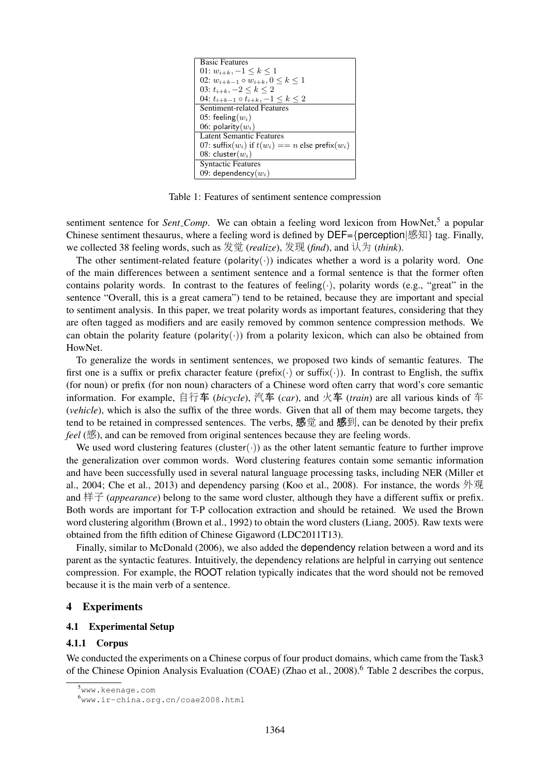

Table 1: Features of sentiment sentence compression

sentiment sentence for Sent<sub>-Comp</sub>. We can obtain a feeling word lexicon from HowNet,<sup>5</sup> a popular Chinese sentiment thesaurus, where a feeling word is defined by DEF={perception|感知} tag. Finally, we collected 38 feeling words, such as 发觉 (*realize*), 发现 (*find*), and 认为 (*think*).

The other sentiment-related feature (polarity( $\cdot$ )) indicates whether a word is a polarity word. One of the main differences between a sentiment sentence and a formal sentence is that the former often contains polarity words. In contrast to the features of feeling( $\cdot$ ), polarity words (e.g., "great" in the sentence "Overall, this is a great camera") tend to be retained, because they are important and special to sentiment analysis. In this paper, we treat polarity words as important features, considering that they are often tagged as modifiers and are easily removed by common sentence compression methods. We can obtain the polarity feature (polarity( $\cdot$ )) from a polarity lexicon, which can also be obtained from HowNet.

To generalize the words in sentiment sentences, we proposed two kinds of semantic features. The first one is a suffix or prefix character feature (prefix( $\cdot$ ) or suffix( $\cdot$ )). In contrast to English, the suffix (for noun) or prefix (for non noun) characters of a Chinese word often carry that word's core semantic information. For example, 自行<sup>车</sup> (*bicycle*), <sup>汽</sup><sup>车</sup> (*car*), and <sup>火</sup><sup>车</sup> (*train*) are all various kinds of <sup>车</sup> (*vehicle*), which is also the suffix of the three words. Given that all of them may become targets, they tend to be retained in compressed sentences. The verbs, 感觉 and 感到, can be denoted by their prefix *feel* (感), and can be removed from original sentences because they are feeling words.

We used word clustering features (cluster( $\cdot$ )) as the other latent semantic feature to further improve the generalization over common words. Word clustering features contain some semantic information and have been successfully used in several natural language processing tasks, including NER (Miller et al., 2004; Che et al., 2013) and dependency parsing (Koo et al., 2008). For instance, the words 外观 and 样子 (*appearance*) belong to the same word cluster, although they have a different suffix or prefix. Both words are important for T-P collocation extraction and should be retained. We used the Brown word clustering algorithm (Brown et al., 1992) to obtain the word clusters (Liang, 2005). Raw texts were obtained from the fifth edition of Chinese Gigaword (LDC2011T13).

Finally, similar to McDonald (2006), we also added the dependency relation between a word and its parent as the syntactic features. Intuitively, the dependency relations are helpful in carrying out sentence compression. For example, the ROOT relation typically indicates that the word should not be removed because it is the main verb of a sentence.

### 4 Experiments

#### 4.1 Experimental Setup

#### 4.1.1 Corpus

We conducted the experiments on a Chinese corpus of four product domains, which came from the Task3 of the Chinese Opinion Analysis Evaluation (COAE) (Zhao et al., 2008).<sup>6</sup> Table 2 describes the corpus,

<sup>5</sup>www.keenage.com

<sup>6</sup>www.ir-china.org.cn/coae2008.html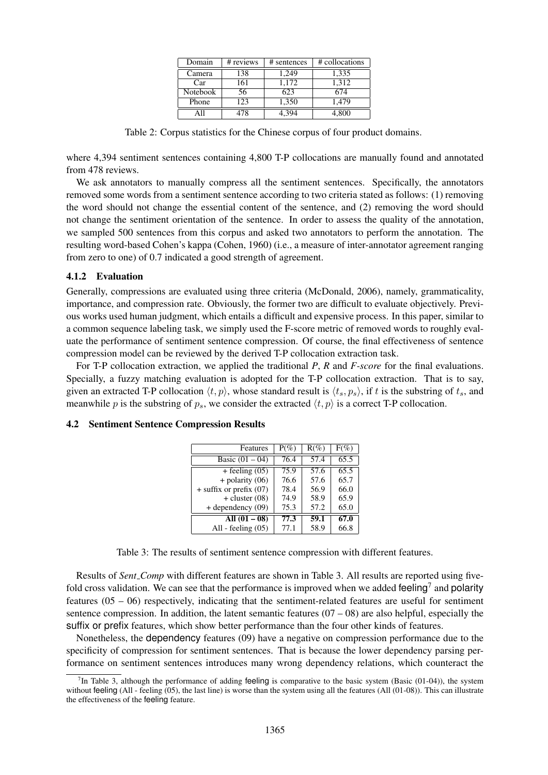| Domain   | # reviews | # sentences | # collocations |
|----------|-----------|-------------|----------------|
| Camera   | 138       | 1,249       | 1,335          |
| Car      | 161       | 1.172       | 1,312          |
| Notebook | 56        | 623         | 674            |
| Phone    | 123       | 1,350       | 1.479          |
|          | 78ء       |             | 4.800          |

Table 2: Corpus statistics for the Chinese corpus of four product domains.

where 4,394 sentiment sentences containing 4,800 T-P collocations are manually found and annotated from 478 reviews.

We ask annotators to manually compress all the sentiment sentences. Specifically, the annotators removed some words from a sentiment sentence according to two criteria stated as follows: (1) removing the word should not change the essential content of the sentence, and (2) removing the word should not change the sentiment orientation of the sentence. In order to assess the quality of the annotation, we sampled 500 sentences from this corpus and asked two annotators to perform the annotation. The resulting word-based Cohen's kappa (Cohen, 1960) (i.e., a measure of inter-annotator agreement ranging from zero to one) of 0.7 indicated a good strength of agreement.

### 4.1.2 Evaluation

Generally, compressions are evaluated using three criteria (McDonald, 2006), namely, grammaticality, importance, and compression rate. Obviously, the former two are difficult to evaluate objectively. Previous works used human judgment, which entails a difficult and expensive process. In this paper, similar to a common sequence labeling task, we simply used the F-score metric of removed words to roughly evaluate the performance of sentiment sentence compression. Of course, the final effectiveness of sentence compression model can be reviewed by the derived T-P collocation extraction task.

For T-P collocation extraction, we applied the traditional *P*, *R* and *F-score* for the final evaluations. Specially, a fuzzy matching evaluation is adopted for the T-P collocation extraction. That is to say, given an extracted T-P collocation  $\langle t, p \rangle$ , whose standard result is  $\langle t_s, p_s \rangle$ , if t is the substring of  $t_s$ , and meanwhile p is the substring of  $p_s$ , we consider the extracted  $\langle t, p \rangle$  is a correct T-P collocation.

| Features                  | $P(\%)$ | $R(\%)$ | $F(\%)$ |
|---------------------------|---------|---------|---------|
| Basic $(01 - 04)$         | 76.4    | 57.4    | 65.5    |
| + feeling $(05)$          | 75.9    | 57.6    | 65.5    |
| $+$ polarity $(06)$       | 76.6    | 57.6    | 65.7    |
| $+$ suffix or prefix (07) | 78.4    | 56.9    | 66.0    |
| $+$ cluster $(08)$        | 74.9    | 58.9    | 65.9    |
| $+$ dependency $(09)$     | 75.3    | 57.2    | 65.0    |
| All $(01 - 08)$           | 77.3    | 59.1    | 67.0    |
| All - feeling $(05)$      | 77.1    | 58.9    | 66.8    |

#### 4.2 Sentiment Sentence Compression Results

Table 3: The results of sentiment sentence compression with different features.

Results of *Sent Comp* with different features are shown in Table 3. All results are reported using fivefold cross validation. We can see that the performance is improved when we added feeling<sup>7</sup> and polarity features (05 – 06) respectively, indicating that the sentiment-related features are useful for sentiment sentence compression. In addition, the latent semantic features  $(07 - 08)$  are also helpful, especially the suffix or prefix features, which show better performance than the four other kinds of features.

Nonetheless, the dependency features (09) have a negative on compression performance due to the specificity of compression for sentiment sentences. That is because the lower dependency parsing performance on sentiment sentences introduces many wrong dependency relations, which counteract the

 $<sup>7</sup>$ In Table 3, although the performance of adding feeling is comparative to the basic system (Basic (01-04)), the system</sup> without feeling (All - feeling (05), the last line) is worse than the system using all the features (All (01-08)). This can illustrate the effectiveness of the feeling feature.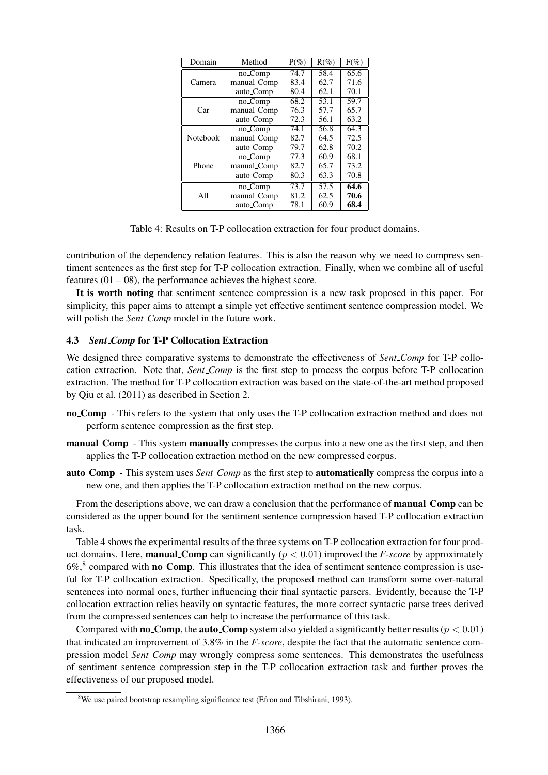| Domain          | Method              | $P(\%)$ | $R(\%)$ | $F(\%)$ |
|-----------------|---------------------|---------|---------|---------|
| Camera          | no_Comp             | 74.7    | 58.4    | 65.6    |
|                 | manual_Comp         | 83.4    | 62.7    | 71.6    |
|                 | auto_Comp           | 80.4    | 62.1    | 70.1    |
| Car             | no_Comp             | 68.2    | 53.1    | 59.7    |
|                 | manual_Comp         | 76.3    | 57.7    | 65.7    |
|                 | auto_Comp           | 72.3    | 56.1    | 63.2    |
| <b>Notebook</b> | no_Comp             | 74.1    | 56.8    | 64.3    |
|                 | manual_Comp         | 82.7    | 64.5    | 72.5    |
|                 | auto_Comp           | 79.7    | 62.8    | 70.2    |
| Phone           | no <sub>-Comp</sub> | 77.3    | 60.9    | 68.1    |
|                 | manual_Comp         | 82.7    | 65.7    | 73.2    |
|                 | auto_Comp           | 80.3    | 63.3    | 70.8    |
| All             | no_Comp             | 73.7    | 57.5    | 64.6    |
|                 | manual_Comp         | 81.2    | 62.5    | 70.6    |
|                 | auto_Comp           | 78.1    | 60.9    | 68.4    |

Table 4: Results on T-P collocation extraction for four product domains.

contribution of the dependency relation features. This is also the reason why we need to compress sentiment sentences as the first step for T-P collocation extraction. Finally, when we combine all of useful features  $(01 - 08)$ , the performance achieves the highest score.

It is worth noting that sentiment sentence compression is a new task proposed in this paper. For simplicity, this paper aims to attempt a simple yet effective sentiment sentence compression model. We will polish the *Sent\_Comp* model in the future work.

# 4.3 *Sent Comp* for T-P Collocation Extraction

We designed three comparative systems to demonstrate the effectiveness of *Sent Comp* for T-P collocation extraction. Note that, *Sent Comp* is the first step to process the corpus before T-P collocation extraction. The method for T-P collocation extraction was based on the state-of-the-art method proposed by Qiu et al. (2011) as described in Section 2.

- no Comp This refers to the system that only uses the T-P collocation extraction method and does not perform sentence compression as the first step.
- manual Comp This system manually compresses the corpus into a new one as the first step, and then applies the T-P collocation extraction method on the new compressed corpus.
- auto Comp This system uses *Sent Comp* as the first step to automatically compress the corpus into a new one, and then applies the T-P collocation extraction method on the new corpus.

From the descriptions above, we can draw a conclusion that the performance of manual Comp can be considered as the upper bound for the sentiment sentence compression based T-P collocation extraction task.

Table 4 shows the experimental results of the three systems on T-P collocation extraction for four product domains. Here, **manual Comp** can significantly  $(p < 0.01)$  improved the *F*-score by approximately  $6\%,$ <sup>8</sup> compared with **no<sub>-Comp</sub>**. This illustrates that the idea of sentiment sentence compression is useful for T-P collocation extraction. Specifically, the proposed method can transform some over-natural sentences into normal ones, further influencing their final syntactic parsers. Evidently, because the T-P collocation extraction relies heavily on syntactic features, the more correct syntactic parse trees derived from the compressed sentences can help to increase the performance of this task.

Compared with **no** Comp, the **auto Comp** system also yielded a significantly better results ( $p < 0.01$ ) that indicated an improvement of 3.8% in the *F-score*, despite the fact that the automatic sentence compression model *Sent Comp* may wrongly compress some sentences. This demonstrates the usefulness of sentiment sentence compression step in the T-P collocation extraction task and further proves the effectiveness of our proposed model.

<sup>&</sup>lt;sup>8</sup>We use paired bootstrap resampling significance test (Efron and Tibshirani, 1993).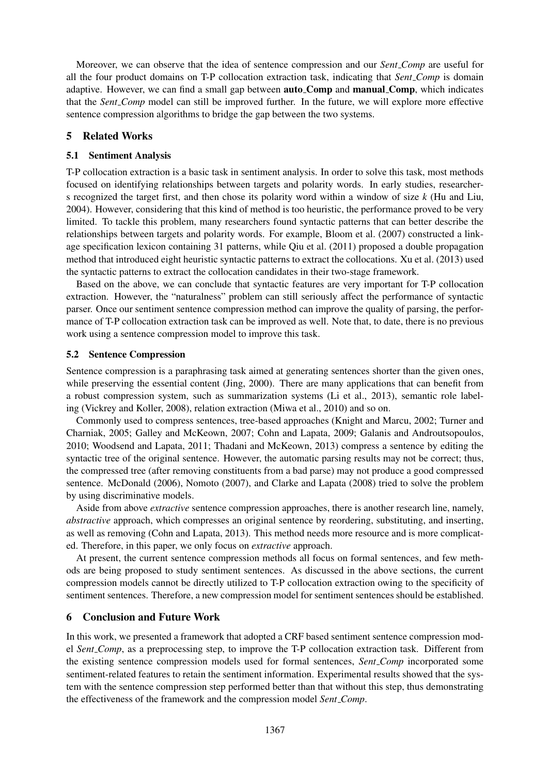Moreover, we can observe that the idea of sentence compression and our *Sent Comp* are useful for all the four product domains on T-P collocation extraction task, indicating that *Sent Comp* is domain adaptive. However, we can find a small gap between auto Comp and manual Comp, which indicates that the *Sent Comp* model can still be improved further. In the future, we will explore more effective sentence compression algorithms to bridge the gap between the two systems.

# 5 Related Works

### 5.1 Sentiment Analysis

T-P collocation extraction is a basic task in sentiment analysis. In order to solve this task, most methods focused on identifying relationships between targets and polarity words. In early studies, researchers recognized the target first, and then chose its polarity word within a window of size *k* (Hu and Liu, 2004). However, considering that this kind of method is too heuristic, the performance proved to be very limited. To tackle this problem, many researchers found syntactic patterns that can better describe the relationships between targets and polarity words. For example, Bloom et al. (2007) constructed a linkage specification lexicon containing 31 patterns, while Qiu et al. (2011) proposed a double propagation method that introduced eight heuristic syntactic patterns to extract the collocations. Xu et al. (2013) used the syntactic patterns to extract the collocation candidates in their two-stage framework.

Based on the above, we can conclude that syntactic features are very important for T-P collocation extraction. However, the "naturalness" problem can still seriously affect the performance of syntactic parser. Once our sentiment sentence compression method can improve the quality of parsing, the performance of T-P collocation extraction task can be improved as well. Note that, to date, there is no previous work using a sentence compression model to improve this task.

### 5.2 Sentence Compression

Sentence compression is a paraphrasing task aimed at generating sentences shorter than the given ones, while preserving the essential content (Jing, 2000). There are many applications that can benefit from a robust compression system, such as summarization systems (Li et al., 2013), semantic role labeling (Vickrey and Koller, 2008), relation extraction (Miwa et al., 2010) and so on.

Commonly used to compress sentences, tree-based approaches (Knight and Marcu, 2002; Turner and Charniak, 2005; Galley and McKeown, 2007; Cohn and Lapata, 2009; Galanis and Androutsopoulos, 2010; Woodsend and Lapata, 2011; Thadani and McKeown, 2013) compress a sentence by editing the syntactic tree of the original sentence. However, the automatic parsing results may not be correct; thus, the compressed tree (after removing constituents from a bad parse) may not produce a good compressed sentence. McDonald (2006), Nomoto (2007), and Clarke and Lapata (2008) tried to solve the problem by using discriminative models.

Aside from above *extractive* sentence compression approaches, there is another research line, namely, *abstractive* approach, which compresses an original sentence by reordering, substituting, and inserting, as well as removing (Cohn and Lapata, 2013). This method needs more resource and is more complicated. Therefore, in this paper, we only focus on *extractive* approach.

At present, the current sentence compression methods all focus on formal sentences, and few methods are being proposed to study sentiment sentences. As discussed in the above sections, the current compression models cannot be directly utilized to T-P collocation extraction owing to the specificity of sentiment sentences. Therefore, a new compression model for sentiment sentences should be established.

# 6 Conclusion and Future Work

In this work, we presented a framework that adopted a CRF based sentiment sentence compression model *Sent Comp*, as a preprocessing step, to improve the T-P collocation extraction task. Different from the existing sentence compression models used for formal sentences, *Sent Comp* incorporated some sentiment-related features to retain the sentiment information. Experimental results showed that the system with the sentence compression step performed better than that without this step, thus demonstrating the effectiveness of the framework and the compression model *Sent Comp*.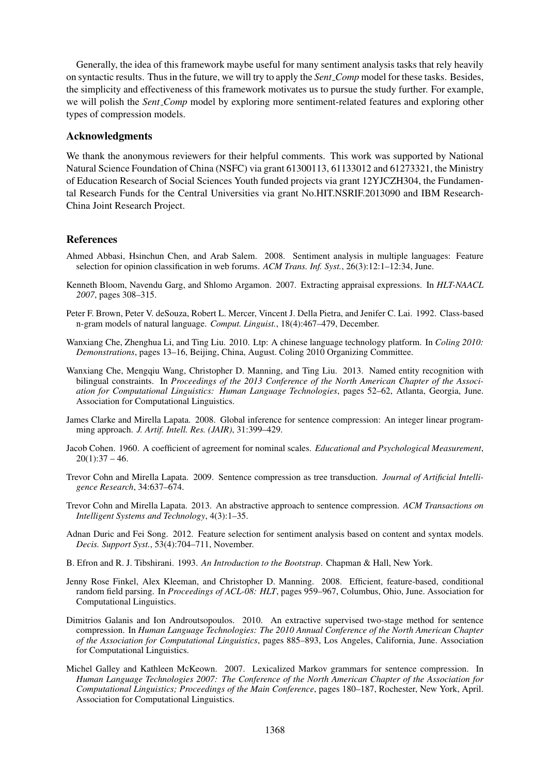Generally, the idea of this framework maybe useful for many sentiment analysis tasks that rely heavily on syntactic results. Thus in the future, we will try to apply the *Sent Comp* model for these tasks. Besides, the simplicity and effectiveness of this framework motivates us to pursue the study further. For example, we will polish the *Sent Comp* model by exploring more sentiment-related features and exploring other types of compression models.

### Acknowledgments

We thank the anonymous reviewers for their helpful comments. This work was supported by National Natural Science Foundation of China (NSFC) via grant 61300113, 61133012 and 61273321, the Ministry of Education Research of Social Sciences Youth funded projects via grant 12YJCZH304, the Fundamental Research Funds for the Central Universities via grant No.HIT.NSRIF.2013090 and IBM Research-China Joint Research Project.

# References

- Ahmed Abbasi, Hsinchun Chen, and Arab Salem. 2008. Sentiment analysis in multiple languages: Feature selection for opinion classification in web forums. *ACM Trans. Inf. Syst.*, 26(3):12:1–12:34, June.
- Kenneth Bloom, Navendu Garg, and Shlomo Argamon. 2007. Extracting appraisal expressions. In *HLT-NAACL 2007*, pages 308–315.
- Peter F. Brown, Peter V. deSouza, Robert L. Mercer, Vincent J. Della Pietra, and Jenifer C. Lai. 1992. Class-based n-gram models of natural language. *Comput. Linguist.*, 18(4):467–479, December.
- Wanxiang Che, Zhenghua Li, and Ting Liu. 2010. Ltp: A chinese language technology platform. In *Coling 2010: Demonstrations*, pages 13–16, Beijing, China, August. Coling 2010 Organizing Committee.
- Wanxiang Che, Mengqiu Wang, Christopher D. Manning, and Ting Liu. 2013. Named entity recognition with bilingual constraints. In *Proceedings of the 2013 Conference of the North American Chapter of the Association for Computational Linguistics: Human Language Technologies*, pages 52–62, Atlanta, Georgia, June. Association for Computational Linguistics.
- James Clarke and Mirella Lapata. 2008. Global inference for sentence compression: An integer linear programming approach. *J. Artif. Intell. Res. (JAIR)*, 31:399–429.
- Jacob Cohen. 1960. A coefficient of agreement for nominal scales. *Educational and Psychological Measurement*,  $20(1):37 - 46.$
- Trevor Cohn and Mirella Lapata. 2009. Sentence compression as tree transduction. *Journal of Artificial Intelligence Research*, 34:637–674.
- Trevor Cohn and Mirella Lapata. 2013. An abstractive approach to sentence compression. *ACM Transactions on Intelligent Systems and Technology*, 4(3):1–35.
- Adnan Duric and Fei Song. 2012. Feature selection for sentiment analysis based on content and syntax models. *Decis. Support Syst.*, 53(4):704–711, November.
- B. Efron and R. J. Tibshirani. 1993. *An Introduction to the Bootstrap*. Chapman & Hall, New York.
- Jenny Rose Finkel, Alex Kleeman, and Christopher D. Manning. 2008. Efficient, feature-based, conditional random field parsing. In *Proceedings of ACL-08: HLT*, pages 959–967, Columbus, Ohio, June. Association for Computational Linguistics.
- Dimitrios Galanis and Ion Androutsopoulos. 2010. An extractive supervised two-stage method for sentence compression. In *Human Language Technologies: The 2010 Annual Conference of the North American Chapter of the Association for Computational Linguistics*, pages 885–893, Los Angeles, California, June. Association for Computational Linguistics.
- Michel Galley and Kathleen McKeown. 2007. Lexicalized Markov grammars for sentence compression. In *Human Language Technologies 2007: The Conference of the North American Chapter of the Association for Computational Linguistics; Proceedings of the Main Conference*, pages 180–187, Rochester, New York, April. Association for Computational Linguistics.